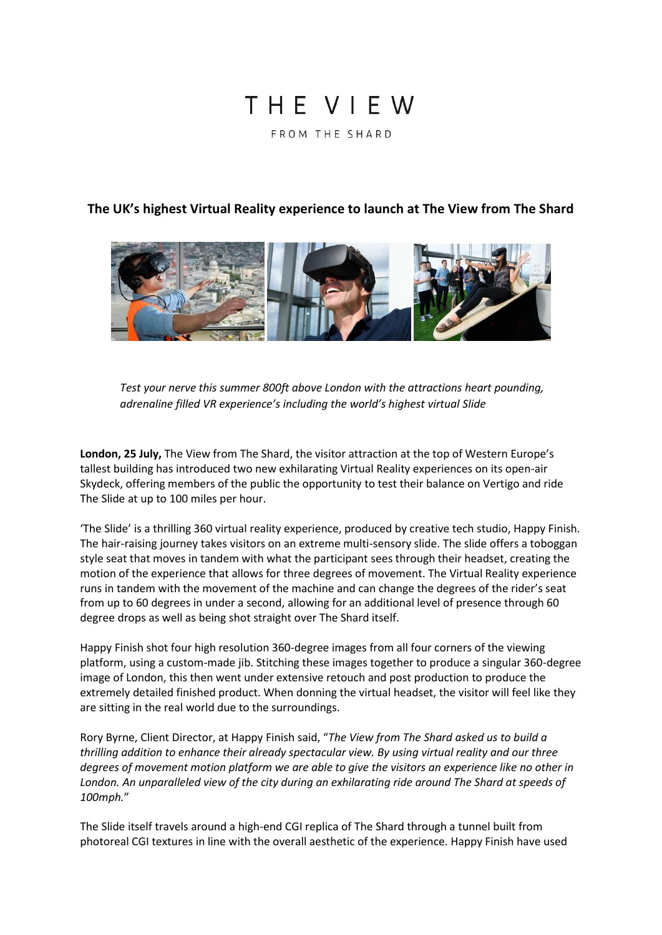# THE VIFW FROM THE SHARD

## **The UK's highest Virtual Reality experience to launch at The View from The Shard**



*Test your nerve this summer 800ft above London with the attractions heart pounding, adrenaline filled VR experience's including the world's highest virtual Slide*

**London, 25 July,** The View from The Shard, the visitor attraction at the top of Western Europe's tallest building has introduced two new exhilarating Virtual Reality experiences on its open-air Skydeck, offering members of the public the opportunity to test their balance on Vertigo and ride The Slide at up to 100 miles per hour.

'The Slide' is a thrilling 360 virtual reality experience, produced by creative tech studio, Happy Finish. The hair-raising journey takes visitors on an extreme multi-sensory slide. The slide offers a toboggan style seat that moves in tandem with what the participant sees through their headset, creating the motion of the experience that allows for three degrees of movement. The Virtual Reality experience runs in tandem with the movement of the machine and can change the degrees of the rider's seat from up to 60 degrees in under a second, allowing for an additional level of presence through 60 degree drops as well as being shot straight over The Shard itself.

Happy Finish shot four high resolution 360-degree images from all four corners of the viewing platform, using a custom-made jib. Stitching these images together to produce a singular 360-degree image of London, this then went under extensive retouch and post production to produce the extremely detailed finished product. When donning the virtual headset, the visitor will feel like they are sitting in the real world due to the surroundings.

Rory Byrne, Client Director, at Happy Finish said, "*The View from The Shard asked us to build a thrilling addition to enhance their already spectacular view. By using virtual reality and our three degrees of movement motion platform we are able to give the visitors an experience like no other in London. An unparalleled view of the city during an exhilarating ride around The Shard at speeds of 100mph.*"

The Slide itself travels around a high-end CGI replica of The Shard through a tunnel built from photoreal CGI textures in line with the overall aesthetic of the experience. Happy Finish have used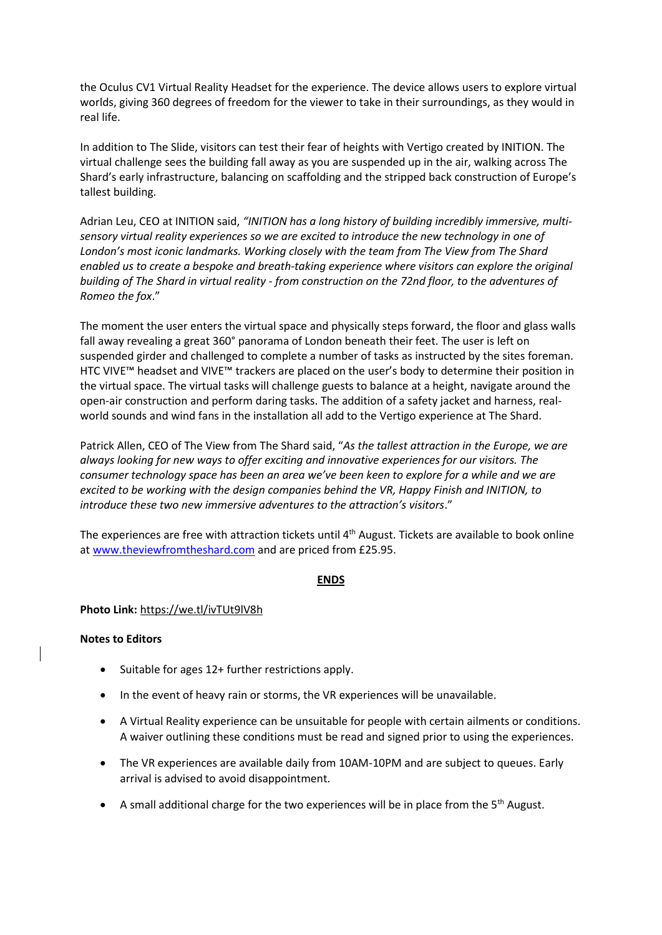the Oculus CV1 Virtual Reality Headset for the experience. The device allows users to explore virtual worlds, giving 360 degrees of freedom for the viewer to take in their surroundings, as they would in real life.

In addition to The Slide, visitors can test their fear of heights with Vertigo created by INITION. The virtual challenge sees the building fall away as you are suspended up in the air, walking across The Shard's early infrastructure, balancing on scaffolding and the stripped back construction of Europe's tallest building.

Adrian Leu, CEO at INITION said, *"INITION has a long history of building incredibly immersive, multisensory virtual reality experiences so we are excited to introduce the new technology in one of London's most iconic landmarks. Working closely with the team from The View from The Shard enabled us to create a bespoke and breath-taking experience where visitors can explore the original building of The Shard in virtual reality - from construction on the 72nd floor, to the adventures of Romeo the fox*."

The moment the user enters the virtual space and physically steps forward, the floor and glass walls fall away revealing a great 360° panorama of London beneath their feet. The user is left on suspended girder and challenged to complete a number of tasks as instructed by the sites foreman. HTC VIVE™ headset and VIVE™ trackers are placed on the user's body to determine their position in the virtual space. The virtual tasks will challenge guests to balance at a height, navigate around the open-air construction and perform daring tasks. The addition of a safety jacket and harness, realworld sounds and wind fans in the installation all add to the Vertigo experience at The Shard.

Patrick Allen, CEO of The View from The Shard said, "*As the tallest attraction in the Europe, we are always looking for new ways to offer exciting and innovative experiences for our visitors. The consumer technology space has been an area we've been keen to explore for a while and we are excited to be working with the design companies behind the VR, Happy Finish and INITION, to introduce these two new immersive adventures to the attraction's visitors*."

The experiences are free with attraction tickets until 4<sup>th</sup> August. Tickets are available to book online a[t www.theviewfromtheshard.com](http://www.theviewfromtheshard.com/) and are priced from £25.95.

### **ENDS**

### **Photo Link:** <https://we.tl/ivTUt9lV8h>

### **Notes to Editors**

- Suitable for ages 12+ further restrictions apply.
- In the event of heavy rain or storms, the VR experiences will be unavailable.
- A Virtual Reality experience can be unsuitable for people with certain ailments or conditions. A waiver outlining these conditions must be read and signed prior to using the experiences.
- The VR experiences are available daily from 10AM-10PM and are subject to queues. Early arrival is advised to avoid disappointment.
- A small additional charge for the two experiences will be in place from the  $5<sup>th</sup>$  August.